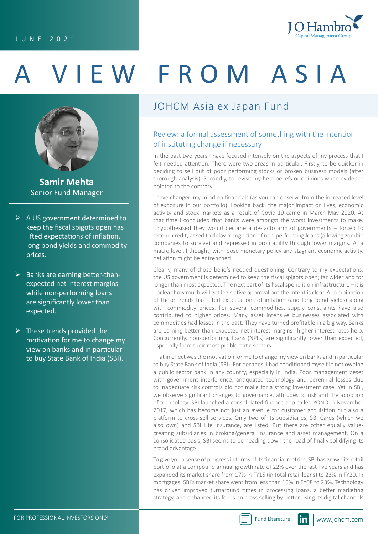

# A VIEW FROM ASIA



**Samir Mehta** Senior Fund Manager

- $\triangleright$  A US government determined to keep the fiscal spigots open has lifted expectations of inflation, long bond yields and commodity prices.
- $\triangleright$  Banks are earning better-thanexpected net interest margins while non-performing loans are significantly lower than expected.
- $\triangleright$  These trends provided the motivation for me to change my view on banks and in particular to buy State Bank of India (SBI).

## JOHCM Asia ex Japan Fund

#### Review: a formal assessment of something with the intention of instituting change if necessary

In the past two years I have focused intensely on the aspects of my process that I felt needed attention. There were two areas in particular. Firstly, to be quicker in deciding to sell out of poor performing stocks or broken business models (after thorough analysis). Secondly, to revisit my held beliefs or opinions when evidence pointed to the contrary.

I have changed my mind on financials (as you can observe from the increased level of exposure in our portfolio). Looking back, the major impact on lives, economic activity and stock markets as a result of Covid-19 came in March-May 2020. At that time I concluded that banks were amongst the worst investments to make. I hypothesised they would become a de-facto arm of governments – forced to extend credit, asked to delay recognition of non-performing loans (allowing zombie companies to survive) and repressed in profitability through lower margins. At a macro level, I thought, with loose monetary policy and stagnant economic activity, deflation might be entrenched.

Clearly, many of those beliefs needed questioning. Contrary to my expectations, the US government is determined to keep the fiscal spigots open; far wider and for longer than most expected. The next part of its fiscal spend is on infrastructure – it is unclear how much will get legislative approval but the intent is clear. A combination of these trends has lifted expectations of inflation (and long bond yields) along with commodity prices. For several commodities, supply constraints have also contributed to higher prices. Many asset intensive businesses associated with commodities had losses in the past. They have turned profitable in a big way. Banks are earning better-than-expected net interest margins - higher interest rates help. Concurrently, non-performing loans (NPLs) are significantly lower than expected, especially from their most problematic sectors.

That in effect was the motivation for me to change my view on banks and in particular to buy State Bank of India (SBI). For decades, I had conditioned myself in not owning a public sector bank in any country, especially in India. Poor management beset with government interference, antiquated technology and perennial losses due to inadequate risk controls did not make for a strong investment case. Yet in SBI, we observe significant changes to governance, attitudes to risk and the adoption of technology. SBI launched a consolidated finance app called YONO in November 2017, which has become not just an avenue for customer acquisition but also a platform to cross-sell services. Only two of its subsidiaries, SBI Cards (which we also own) and SBI Life Insurance, are listed. But there are other equally valuecreating subsidiaries in broking/general insurance and asset management. On a consolidated basis, SBI seems to be heading down the road of finally solidifying its brand advantage.

To give you a sense of progress in terms of its financial metrics, SBI has grown its retail portfolio at a compound annual growth rate of 22% over the last five years and has expanded its market share from 17% in FY15 (in total retail loans) to 23% in FY20. In mortgages, SBI's market share went from less than 15% in FY08 to 23%. Technology has driven improved turnaround times in processing loans, a better marketing strategy, and enhanced its focus on cross selling by better using its digital channels

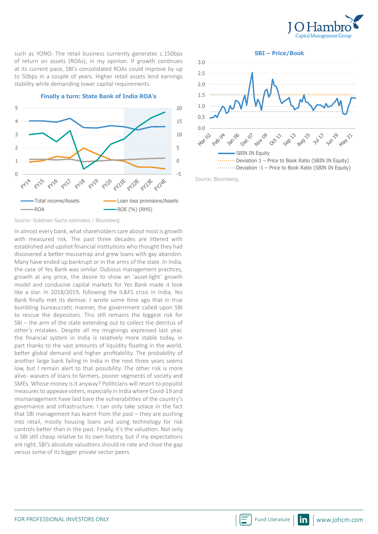

such as YONO. The retail business currently generates c.150bps of return on assets (ROAs), in my opinion. If growth continues at its current pace, SBI's consolidated ROAs could improve by up to 50bps in a couple of years. Higher retail assets lend earnings stability while demanding lower capital requirements.



**Finally a turn: State Bank of India ROA's** 

In almost every bank, what shareholders care about most is growth with measured risk. The past three decades are littered with established and upshot financial institutions who thought they had discovered a better mousetrap and grew loans with gay abandon. Many have ended up bankrupt or in the arms of the state. In India, the case of Yes Bank was similar. Dubious management practices, growth at any price, the desire to show an 'asset-light' growth model and conducive capital markets for Yes Bank made it look like a star. In 2018/2019, following the IL&FS crisis in India, Yes Bank finally met its demise. I wrote some time ago that in true bumbling bureaucratic manner, the government called upon SBI to rescue the depositors. This still remains the biggest risk for SBI – the arm of the state extending out to collect the detritus of other's mistakes. Despite all my misgivings expressed last year, the financial system in India is relatively more stable today, in part thanks to the vast amounts of liquidity floating in the world, better global demand and higher profitability. The probability of another large bank failing in India in the next three years seems low, but I remain alert to that possibility. The other risk is more alive - waivers of loans to farmers, poorer segments of society and SMEs. Whose money is it anyway? Politicians will resort to populist measures to appease voters, especially in India where Covid-19 and mismanagement have laid bare the vulnerabilities of the country's governance and infrastructure. I can only take solace in the fact that SBI management has learnt from the past – they are pushing into retail, mostly housing loans and using technology for risk controls better than in the past. Finally, it's the valuation. Not only is SBI still cheap relative to its own history, but if my expectations are right, SBI's absolute valuations should re-rate and close the gap versus some of its bigger private sector peers.



Source: Bloomberg.

Source: Goldman Sachs estimates / Bloomberg.